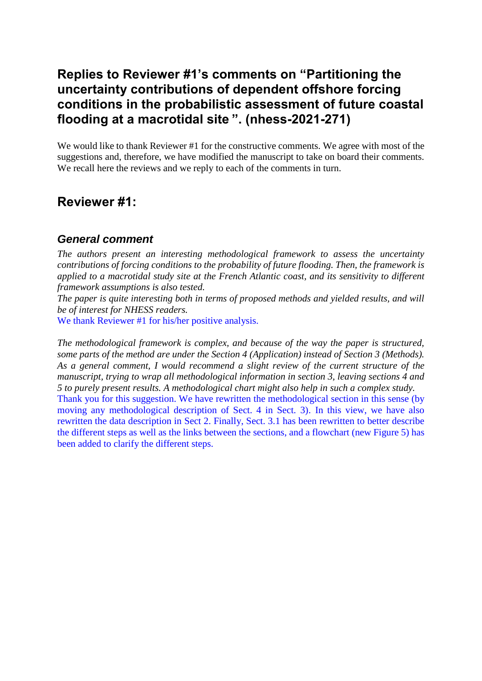# **Replies to Reviewer #1's comments on "Partitioning the uncertainty contributions of dependent offshore forcing conditions in the probabilistic assessment of future coastal flooding at a macrotidal site ". (nhess-2021-271)**

We would like to thank Reviewer #1 for the constructive comments. We agree with most of the suggestions and, therefore, we have modified the manuscript to take on board their comments. We recall here the reviews and we reply to each of the comments in turn.

## **Reviewer #1:**

### *General comment*

*The authors present an interesting methodological framework to assess the uncertainty contributions of forcing conditions to the probability of future flooding. Then, the framework is applied to a macrotidal study site at the French Atlantic coast, and its sensitivity to different framework assumptions is also tested.*

*The paper is quite interesting both in terms of proposed methods and yielded results, and will be of interest for NHESS readers.*

We thank Reviewer #1 for his/her positive analysis.

*The methodological framework is complex, and because of the way the paper is structured, some parts of the method are under the Section 4 (Application) instead of Section 3 (Methods). As a general comment, I would recommend a slight review of the current structure of the manuscript, trying to wrap all methodological information in section 3, leaving sections 4 and 5 to purely present results. A methodological chart might also help in such a complex study.* Thank you for this suggestion. We have rewritten the methodological section in this sense (by moving any methodological description of Sect. 4 in Sect. 3). In this view, we have also rewritten the data description in Sect 2. Finally, Sect. 3.1 has been rewritten to better describe the different steps as well as the links between the sections, and a flowchart (new Figure 5) has been added to clarify the different steps.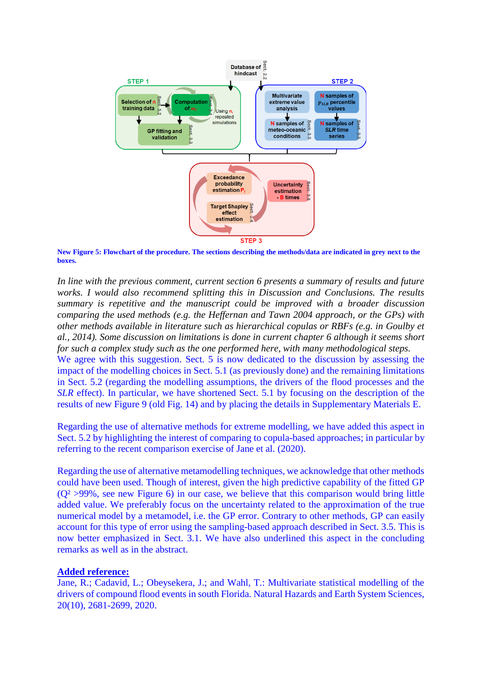

**New Figure 5: Flowchart of the procedure. The sections describing the methods/data are indicated in grey next to the boxes.** 

*In line with the previous comment, current section 6 presents a summary of results and future works. I would also recommend splitting this in Discussion and Conclusions. The results summary is repetitive and the manuscript could be improved with a broader discussion comparing the used methods (e.g. the Heffernan and Tawn 2004 approach, or the GPs) with other methods available in literature such as hierarchical copulas or RBFs (e.g. in Goulby et al., 2014). Some discussion on limitations is done in current chapter 6 although it seems short for such a complex study such as the one performed here, with many methodological steps.* We agree with this suggestion. Sect. 5 is now dedicated to the discussion by assessing the impact of the modelling choices in Sect. 5.1 (as previously done) and the remaining limitations in Sect. 5.2 (regarding the modelling assumptions, the drivers of the flood processes and the *SLR* effect). In particular, we have shortened Sect. 5.1 by focusing on the description of the

results of new Figure 9 (old Fig. 14) and by placing the details in Supplementary Materials E.

Regarding the use of alternative methods for extreme modelling, we have added this aspect in Sect. 5.2 by highlighting the interest of comparing to copula-based approaches; in particular by referring to the recent comparison exercise of Jane et al. (2020).

Regarding the use of alternative metamodelling techniques, we acknowledge that other methods could have been used. Though of interest, given the high predictive capability of the fitted GP  $(Q<sup>2</sup> >99\%$ , see new Figure 6) in our case, we believe that this comparison would bring little added value. We preferably focus on the uncertainty related to the approximation of the true numerical model by a metamodel, i.e. the GP error. Contrary to other methods, GP can easily account for this type of error using the sampling-based approach described in Sect. 3.5. This is now better emphasized in Sect. 3.1. We have also underlined this aspect in the concluding remarks as well as in the abstract.

#### **Added reference:**

Jane, R.; Cadavid, L.; Obeysekera, J.; and Wahl, T.: Multivariate statistical modelling of the drivers of compound flood events in south Florida. Natural Hazards and Earth System Sciences, 20(10), 2681-2699, 2020.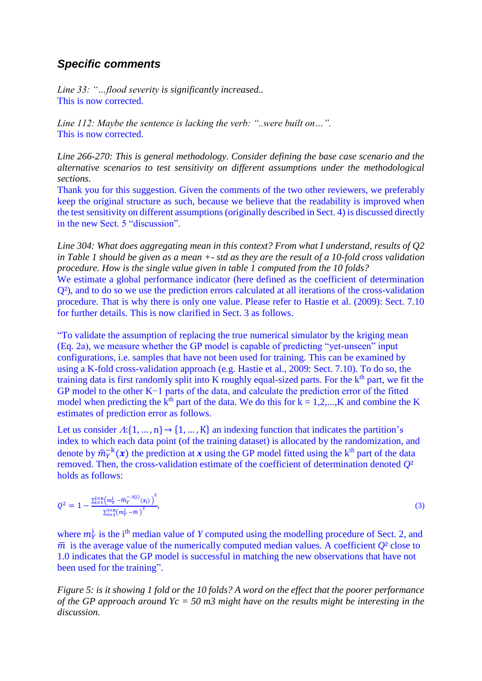#### *Specific comments*

*Line 33: "…flood severity is significantly increased..*  This is now corrected.

*Line 112: Maybe the sentence is lacking the verb: "..were built on…".*  This is now corrected.

*Line 266-270: This is general methodology. Consider defining the base case scenario and the alternative scenarios to test sensitivity on different assumptions under the methodological sections.*

Thank you for this suggestion. Given the comments of the two other reviewers, we preferably keep the original structure as such, because we believe that the readability is improved when the test sensitivity on different assumptions (originally described in Sect. 4) is discussed directly in the new Sect. 5 "discussion".

*Line 304: What does aggregating mean in this context? From what I understand, results of Q2 in Table 1 should be given as a mean +- std as they are the result of a 10-fold cross validation procedure. How is the single value given in table 1 computed from the 10 folds?* 

We estimate a global performance indicator (here defined as the coefficient of determination Q²), and to do so we use the prediction errors calculated at all iterations of the cross-validation procedure. That is why there is only one value. Please refer to Hastie et al. (2009): Sect. 7.10 for further details. This is now clarified in Sect. 3 as follows.

"To validate the assumption of replacing the true numerical simulator by the kriging mean (Eq. 2a), we measure whether the GP model is capable of predicting "yet-unseen" input configurations, i.e. samples that have not been used for training. This can be examined by using a K-fold cross-validation approach (e.g. Hastie et al., 2009: Sect. 7.10). To do so, the training data is first randomly split into K roughly equal-sized parts. For the k<sup>th</sup> part, we fit the GP model to the other K−1 parts of the data, and calculate the prediction error of the fitted model when predicting the k<sup>th</sup> part of the data. We do this for  $k = 1, 2, ..., K$  and combine the K estimates of prediction error as follows.

Let us consider  $A: \{1, ..., n\} \rightarrow \{1, ..., K\}$  an indexing function that indicates the partition's index to which each data point (of the training dataset) is allocated by the randomization, and denote by  $\hat{m}_Y^{-k}(x)$  the prediction at x using the GP model fitted using the k<sup>th</sup> part of the data removed. Then, the cross-validation estimate of the coefficient of determination denoted *Q*² holds as follows:

$$
Q^{2} = 1 - \frac{\sum_{i=1}^{j=n} (m_{Y}^{i} - \widehat{m}_{Y}^{-A(i)}(x_{i}))^{2}}{\sum_{i=1}^{j=n} (m_{Y}^{i} - \widehat{m})^{2}},
$$
\n(3)

where  $m_Y^i$  is the i<sup>th</sup> median value of *Y* computed using the modelling procedure of Sect. 2, and  $\bar{m}$  is the average value of the numerically computed median values. A coefficient  $Q^2$  close to 1.0 indicates that the GP model is successful in matching the new observations that have not been used for the training".

*Figure 5: is it showing 1 fold or the 10 folds? A word on the effect that the poorer performance of the GP approach around Yc = 50 m3 might have on the results might be interesting in the discussion.*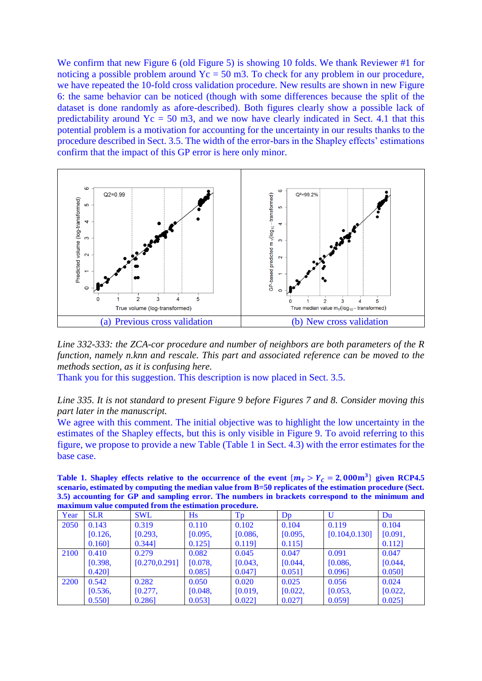We confirm that new Figure 6 (old Figure 5) is showing 10 folds. We thank Reviewer #1 for noticing a possible problem around  $Yc = 50$  m3. To check for any problem in our procedure, we have repeated the 10-fold cross validation procedure. New results are shown in new Figure 6: the same behavior can be noticed (though with some differences because the split of the dataset is done randomly as afore-described). Both figures clearly show a possible lack of predictability around  $Yc = 50$  m3, and we now have clearly indicated in Sect. 4.1 that this potential problem is a motivation for accounting for the uncertainty in our results thanks to the procedure described in Sect. 3.5. The width of the error-bars in the Shapley effects' estimations confirm that the impact of this GP error is here only minor.



*Line 332-333: the ZCA-cor procedure and number of neighbors are both parameters of the R function, namely n.knn and rescale. This part and associated reference can be moved to the methods section, as it is confusing here.* 

Thank you for this suggestion. This description is now placed in Sect. 3.5.

*Line 335. It is not standard to present Figure 9 before Figures 7 and 8. Consider moving this part later in the manuscript.*

We agree with this comment. The initial objective was to highlight the low uncertainty in the estimates of the Shapley effects, but this is only visible in Figure 9. To avoid referring to this figure, we propose to provide a new Table (Table 1 in Sect. 4.3) with the error estimates for the base case.

| Table 1. Shapley effects relative to the occurrence of the event $\{m_v > Y_c = 2,000m^3\}$ given RCP4.5  |
|-----------------------------------------------------------------------------------------------------------|
| scenario, estimated by computing the median value from B=50 replicates of the estimation procedure (Sect. |
| 3.5) accounting for GP and sampling error. The numbers in brackets correspond to the minimum and          |
| maximum value computed from the estimation procedure.                                                     |

| mwanishi wa weweliza ya kutoka na wanda wa wakazi wa weweza wa |            |                |           |               |                |                |           |  |
|----------------------------------------------------------------|------------|----------------|-----------|---------------|----------------|----------------|-----------|--|
| Year                                                           | <b>SLR</b> | <b>SWL</b>     | Hs        | $\mathbf{Tp}$ | D <sub>p</sub> |                | Du        |  |
| 2050                                                           | 0.143      | 0.319          | 0.110     | 0.102         | 0.104          | 0.119          | 0.104     |  |
|                                                                | [0.126,    | [0.293,        | [0.095,   | [0.086,       | [0.095,        | [0.104, 0.130] | [0.091,   |  |
|                                                                | 0.160      | $0.344$ ]      | $0.125$ ] | 0.119         | $0.115$ ]      |                | $0.112$ ] |  |
| 2100                                                           | 0.410      | 0.279          | 0.082     | 0.045         | 0.047          | 0.091          | 0.047     |  |
|                                                                | [0.398,    | [0.270, 0.291] | [0.078,   | [0.043,       | [0.044,        | [0.086,        | [0.044,   |  |
|                                                                | $0.420$ ]  |                | $0.085$ ] | $0.047$ ]     | $0.051$ ]      | 0.096          | $0.050$ ] |  |
| 2200                                                           | 0.542      | 0.282          | 0.050     | 0.020         | 0.025          | 0.056          | 0.024     |  |
|                                                                | [0.536,    | [0.277,        | [0.048,   | [0.019,       | [0.022,        | [0.053,        | [0.022,   |  |
|                                                                | $0.550$ ]  | 0.286          | $0.053$ ] | $0.022$ ]     | $0.027$ ]      | $0.059$ ]      | $0.025$ ] |  |